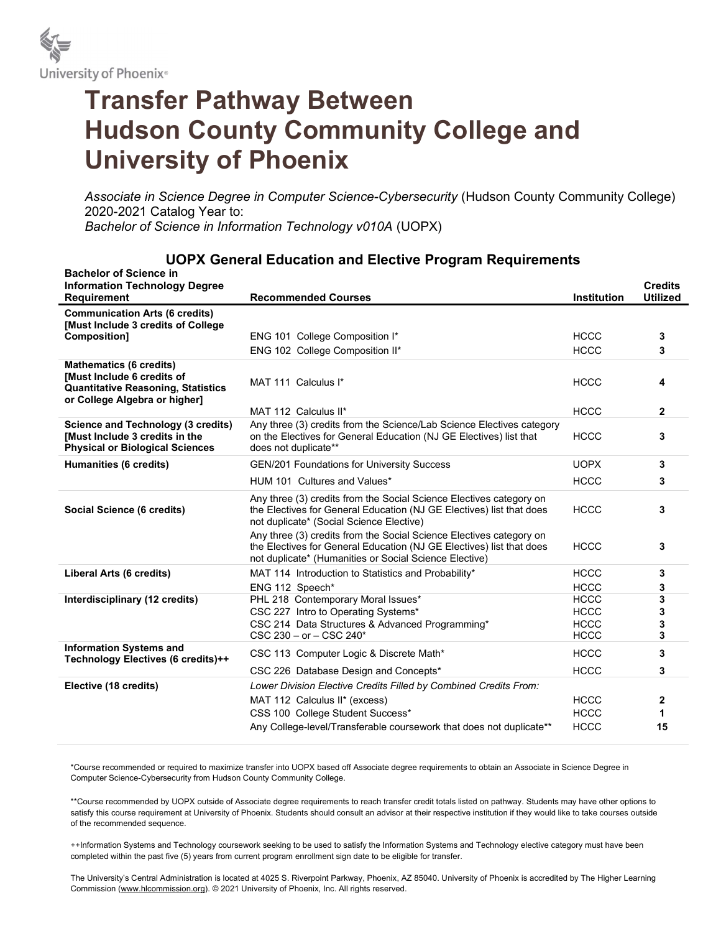

## Transfer Pathway Between Hudson County Community College and University of Phoenix

Associate in Science Degree in Computer Science-Cybersecurity (Hudson County Community College) 2020-2021 Catalog Year to: Bachelor of Science in Information Technology v010A (UOPX)

| <b>Bachelor of Science in</b><br><b>Information Technology Degree</b>                                                              |                                                                                                                                                                                                       |                            | <b>Credits</b>  |
|------------------------------------------------------------------------------------------------------------------------------------|-------------------------------------------------------------------------------------------------------------------------------------------------------------------------------------------------------|----------------------------|-----------------|
| Requirement                                                                                                                        | <b>Recommended Courses</b>                                                                                                                                                                            | <b>Institution</b>         | <b>Utilized</b> |
| <b>Communication Arts (6 credits)</b><br>[Must Include 3 credits of College                                                        |                                                                                                                                                                                                       |                            |                 |
| <b>Composition1</b>                                                                                                                | ENG 101 College Composition I*                                                                                                                                                                        | <b>HCCC</b>                | 3               |
|                                                                                                                                    | ENG 102 College Composition II*                                                                                                                                                                       | <b>HCCC</b>                | 3               |
| <b>Mathematics (6 credits)</b><br>Must Include 6 credits of<br>Quantitative Reasoning, Statistics<br>or College Algebra or higher] | MAT 111 Calculus I*                                                                                                                                                                                   | <b>HCCC</b>                | 4               |
|                                                                                                                                    | MAT 112 Calculus II*                                                                                                                                                                                  | <b>HCCC</b>                | $\mathbf{2}$    |
| Science and Technology (3 credits)<br>Must Include 3 credits in the<br><b>Physical or Biological Sciences</b>                      | Any three (3) credits from the Science/Lab Science Electives category<br>on the Electives for General Education (NJ GE Electives) list that<br>does not duplicate**                                   | <b>HCCC</b>                | 3               |
| Humanities (6 credits)                                                                                                             | GEN/201 Foundations for University Success                                                                                                                                                            | <b>UOPX</b>                | 3               |
|                                                                                                                                    | HUM 101 Cultures and Values*                                                                                                                                                                          | <b>HCCC</b>                | 3               |
| Social Science (6 credits)                                                                                                         | Any three (3) credits from the Social Science Electives category on<br>the Electives for General Education (NJ GE Electives) list that does<br>not duplicate* (Social Science Elective)               | <b>HCCC</b>                | 3               |
|                                                                                                                                    | Any three (3) credits from the Social Science Electives category on<br>the Electives for General Education (NJ GE Electives) list that does<br>not duplicate* (Humanities or Social Science Elective) | <b>HCCC</b>                | 3               |
| Liberal Arts (6 credits)                                                                                                           | MAT 114 Introduction to Statistics and Probability*                                                                                                                                                   | <b>HCCC</b>                | 3               |
|                                                                                                                                    | ENG 112 Speech*                                                                                                                                                                                       | <b>HCCC</b>                | 3               |
| Interdisciplinary (12 credits)                                                                                                     | PHL 218 Contemporary Moral Issues*                                                                                                                                                                    | <b>HCCC</b>                | 3               |
|                                                                                                                                    | CSC 227 Intro to Operating Systems*                                                                                                                                                                   | <b>HCCC</b><br><b>HCCC</b> | 3               |
|                                                                                                                                    | CSC 214 Data Structures & Advanced Programming*<br>$CSC 230 - or - CSC 240*$                                                                                                                          | <b>HCCC</b>                | 3<br>3          |
| <b>Information Systems and</b><br>Technology Electives (6 credits)++                                                               | CSC 113 Computer Logic & Discrete Math*                                                                                                                                                               | <b>HCCC</b>                | 3               |
|                                                                                                                                    | CSC 226 Database Design and Concepts*                                                                                                                                                                 | <b>HCCC</b>                | 3               |
| Elective (18 credits)                                                                                                              | Lower Division Elective Credits Filled by Combined Credits From:                                                                                                                                      |                            |                 |
|                                                                                                                                    | MAT 112 Calculus II* (excess)                                                                                                                                                                         | <b>HCCC</b>                | $\mathbf{2}$    |
|                                                                                                                                    | CSS 100 College Student Success*                                                                                                                                                                      | <b>HCCC</b>                | 1               |
|                                                                                                                                    | Any College-level/Transferable coursework that does not duplicate**                                                                                                                                   | <b>HCCC</b>                | 15              |

## UOPX General Education and Elective Program Requirements

\*Course recommended or required to maximize transfer into UOPX based off Associate degree requirements to obtain an Associate in Science Degree in Computer Science-Cybersecurity from Hudson County Community College.

\*\*Course recommended by UOPX outside of Associate degree requirements to reach transfer credit totals listed on pathway. Students may have other options to satisfy this course requirement at University of Phoenix. Students should consult an advisor at their respective institution if they would like to take courses outside of the recommended sequence.

++Information Systems and Technology coursework seeking to be used to satisfy the Information Systems and Technology elective category must have been completed within the past five (5) years from current program enrollment sign date to be eligible for transfer.

The University's Central Administration is located at 4025 S. Riverpoint Parkway, Phoenix, AZ 85040. University of Phoenix is accredited by The Higher Learning Commission (www.hlcommission.org). © 2021 University of Phoenix, Inc. All rights reserved.